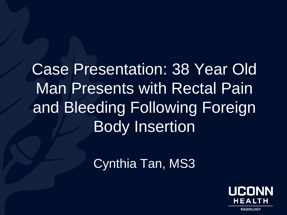Case Presentation: 38 Year Old Man Presents with Rectal Pain and Bleeding Following Foreign Body Insertion

Cynthia Tan, MS3

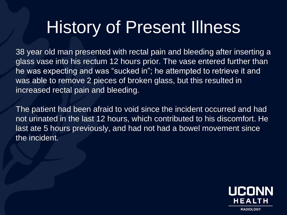### History of Present Illness

38 year old man presented with rectal pain and bleeding after inserting a glass vase into his rectum 12 hours prior. The vase entered further than he was expecting and was "sucked in"; he attempted to retrieve it and was able to remove 2 pieces of broken glass, but this resulted in increased rectal pain and bleeding.

The patient had been afraid to void since the incident occurred and had not urinated in the last 12 hours, which contributed to his discomfort. He last ate 5 hours previously, and had not had a bowel movement since the incident.

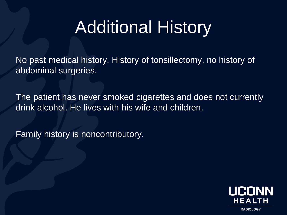## Additional History

No past medical history. History of tonsillectomy, no history of abdominal surgeries.

The patient has never smoked cigarettes and does not currently drink alcohol. He lives with his wife and children.

Family history is noncontributory.

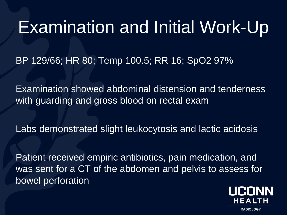#### Examination and Initial Work-Up

BP 129/66; HR 80; Temp 100.5; RR 16; SpO2 97%

Examination showed abdominal distension and tenderness with guarding and gross blood on rectal exam

Labs demonstrated slight leukocytosis and lactic acidosis

Patient received empiric antibiotics, pain medication, and was sent for a CT of the abdomen and pelvis to assess for bowel perforation

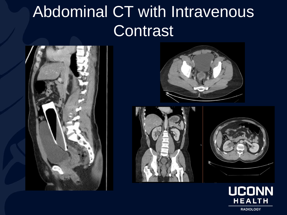### Abdominal CT with Intravenous **Contrast**









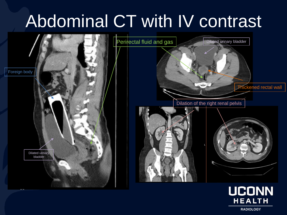## Abdominal CT with IV contrast



**RADIOLOGY** 

**HEALTH**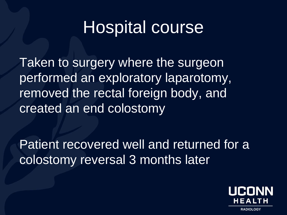#### Hospital course

Taken to surgery where the surgeon performed an exploratory laparotomy, removed the rectal foreign body, and created an end colostomy

Patient recovered well and returned for a colostomy reversal 3 months later

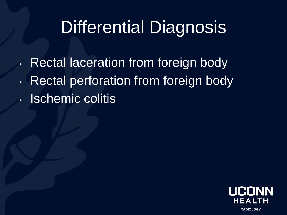## Differential Diagnosis

• Rectal laceration from foreign body • Rectal perforation from foreign body • Ischemic colitis

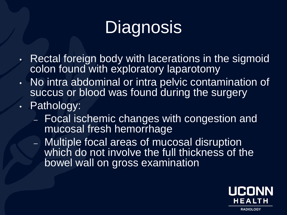# **Diagnosis**

- $\cdot$  Rectal foreign body with lacerations in the sigmoid colon found with exploratory laparotomy
- No intra abdominal or intra pelvic contamination of succus or blood was found during the surgery
- Pathology:
	- Focal ischemic changes with congestion and mucosal fresh hemorrhage
	- Multiple focal areas of mucosal disruption which do not involve the full thickness of the bowel wall on gross examination

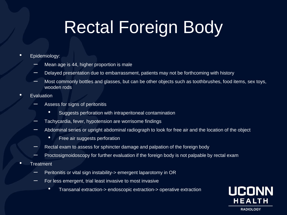## Rectal Foreign Body

- Epidemiology:
	- Mean age is 44, higher proportion is male
	- Delayed presentation due to embarrassment, patients may not be forthcoming with history
	- Most commonly bottles and glasses, but can be other objects such as toothbrushes, food items, sex toys, wooden rods
- **Evaluation** 
	- Assess for signs of peritonitis
		- Suggests perforation with intraperitoneal contamination
	- Tachycardia, fever, hypotension are worrisome findings
	- Abdominal series or upright abdominal radiograph to look for free air and the location of the object
		- Free air suggests perforation
	- Rectal exam to assess for sphincter damage and palpation of the foreign body
	- Proctosigmoidoscopy for further evaluation if the foreign body is not palpable by rectal exam
- Treatment
	- Peritonitis or vital sign instability-> emergent laparotomy in OR
	- $\blacksquare$  For less emergent, trial least invasive to most invasive
		- Transanal extraction-> endoscopic extraction-> operative extraction

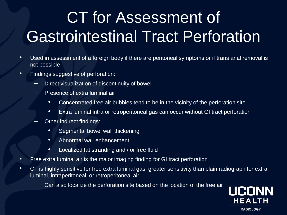## CT for Assessment of Gastrointestinal Tract Perforation

- Used in assessment of a foreign body if there are peritoneal symptoms or if trans anal removal is not possible
- Findings suggestive of perforation:
	- Direct visualization of discontinuity of bowel
	- Presence of extra luminal air
		- Concentrated free air bubbles tend to be in the vicinity of the perforation site
		- Extra luminal intra or retroperitoneal gas can occur without GI tract perforation
		- Other indirect findings:
			- Segmental bowel wall thickening
			- Abnormal wall enhancement
			- Localized fat stranding and / or free fluid
- Free extra luminal air is the major imaging finding for GI tract perforation
- CT is highly sensitive for free extra luminal gas: greater sensitivity than plain radiograph for extra luminal, intraperitoneal, or retroperitoneal air
	- Can also localize the perforation site based on the location of the free air